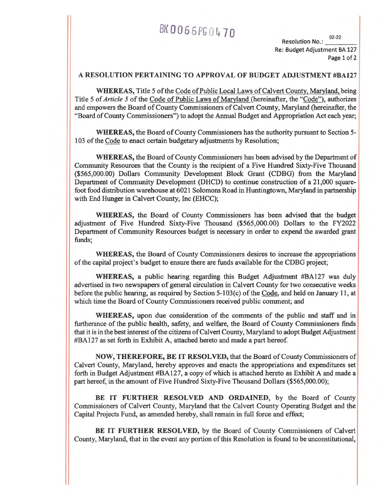## BK0066PG0470

02-22 Resolution No.: Re: Budget Adjustment BA 127 Page 1 of 2

## **A RESOLUTION PERTAINING TO APPROVAL OF BUDGET ADJUSTMENT #BA127**

**WHEREAS,** Title 5 of the Code of Public Local Laws of Calvert County, Maryland, being Title 5 of *Article 5* of the Code of Public Laws of Maryland (hereinafter, the "Code"), authorizes and empowers the Board of County Commissioners of Calvert County, Maryland (hereinafter, the "Board of County Commissioners") to adopt the Annual Budget and Appropriation Act each year;

**WHEREAS,** the Board of County Commissioners has the authority pursuant to Section 5- 103 of the Code to enact certain budgetary adjustments by Resolution;

**WHEREAS,** the Board of County Commissioners has been advised by the Department of Community Resources that the County is the recipient of a Five Hundred Sixty-Five Thousand (\$565,000.00) Dollars Community Development Block Grant (CDBG) from the Maryland Department of Community Development (DHCD) to continue construction of a 21,000 squarefoot food distribution warehouse at 6021 Solomons Road in Huntingtown, Maryland in partnership with End Hunger in Calvert County, Inc (EHCC);

**WHEREAS,** the Board of County Commissioners has been advised that the budget adjustment of Five Hundred Sixty-Five Thousand (\$565,000.00) Dollars to the FY2022 Department of Community Resources budget is necessary in order to expend the awarded grant funds;

**WHEREAS,** the Board of County Commissioners desires to increase the appropriations of the capital project's budget to ensure there are funds available for the CDBG project;

**WHEREAS,** a public hearing regarding this Budget Adjustment #BA127 was duly j advertised in two newspapers of general circulation in Calvert County for two consecutive weeks before the public hearing, as required by Section 5-103(c) of the Code, and held on January 11, at which time the Board of County Commissioners received public comment; and

**WHEREAS,** upon due consideration of the comments of the public and staff and in furtherance of the public health, safety, and welfare, the Board of County Commissioners finds that it is in the best interest of the citizens of Calvert County, Maryland to adopt Budget Adjustment #BA127 as set forth in Exhibit A, attached hereto and made a part hereof

**NOW, THEREFORE, BE IT RESOLVED,** that the Board of County Commissioners of Calvert County, Maryland, hereby approves and enacts the appropriations and expenditures set forth in Budget Adjustment #BA127, a copy of which is attached hereto as Exhibit A and made a part hereof, in the amount of Five Hundred Sixty-Five Thousand Dollars (\$565,000.00);

**BE IT FURTHER RESOLVED AND ORDAINED,** by the Board of County Commissioners of Calvert County, Maryland that the Calvert County Operating Budget and the Capital Projects Fund, as amended hereby, shall remain in full force and effect;

**BE IT FURTHER RESOLVED,** by the Board of County Commissioners of Calvert County, Maryland, that in the event any portion of this Resolution is found to be unconstitutional,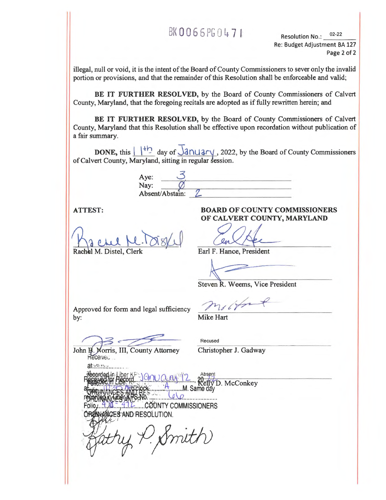## BK0066PG0471

 $02 - 22$ **Resolution No.:** Re: Budget Adjustment BA 127 Page 2 of 2

illegal, null or void, it is the intent of the Board of County Commissioners to sever only the invalid portion or provisions, and that the remainder of this Resolution shall be enforceable and valid;

BE IT FURTHER RESOLVED, by the Board of County Commissioners of Calvert County, Maryland, that the foregoing recitals are adopted as if fully rewritten herein; and

BE IT FURTHER RESOLVED, by the Board of County Commissioners of Calvert County, Maryland that this Resolution shall be effective upon recordation without publication of a fair summary.

**DONE,** this  $\left| \begin{array}{c} +b \\ -c \end{array} \right|$  day of  $\frac{1}{\sqrt{2}}$  and  $\frac{1}{\sqrt{2}}$ , 2022, by the Board of County Commissioners of Calvert County, Maryland, sitting in regular session.

Aye: Nay: Absent/Abstain:

**ATTEST:** 

Rachel M. Distel, Clerk

**BOARD OF COUNTY COMMISSIONERS** OF CALVERT COUNTY, MARYLAND

 $Q_{I}$ 

Earl F. Hance, President

Steven R. Weems, Vice President

Approved for form and legal sufficiency by:

Recused

Mike Hart

John B. Morris, III, County Attorney Received ...

Christopher J. Gadway

atutivus Absent UCARY I.L., Petry D. McConkey  $A$  M. Same day  $6.$   $66.$ 

AL 472 COUNTY COMMISSIONERS NAMCES AND RESOLUTION.

y P. Smith